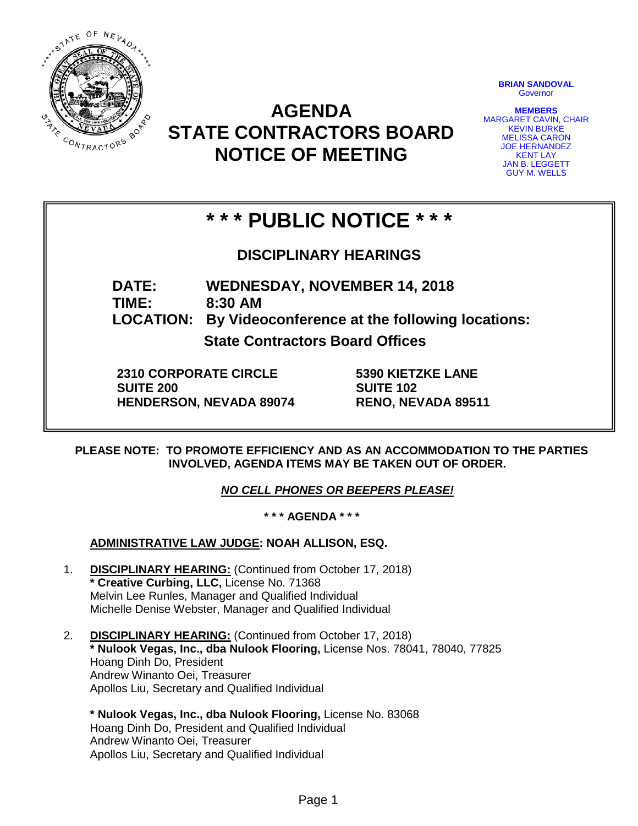

# **AGENDA STATE CONTRACTORS BOARD NOTICE OF MEETING**

**BRIAN SANDOVAL Governor** 

**MEMBERS** MARGARET CAVIN, CHAIR KEVIN BURKE MELISSA CARON JOE HERNANDEZ KENT LAY JAN B. LEGGETT GUY M. WELLS

# **\* \* \* PUBLIC NOTICE \* \* \***

**DISCIPLINARY HEARINGS**

**DATE: WEDNESDAY, NOVEMBER 14, 2018 TIME: 8:30 AM LOCATION: By Videoconference at the following locations:**

**State Contractors Board Offices**

**2310 CORPORATE CIRCLE SUITE 200 HENDERSON, NEVADA 89074** **5390 KIETZKE LANE SUITE 102 RENO, NEVADA 89511**

**PLEASE NOTE: TO PROMOTE EFFICIENCY AND AS AN ACCOMMODATION TO THE PARTIES INVOLVED, AGENDA ITEMS MAY BE TAKEN OUT OF ORDER.**

*NO CELL PHONES OR BEEPERS PLEASE!* 

**\* \* \* AGENDA \* \* \***

**ADMINISTRATIVE LAW JUDGE: NOAH ALLISON, ESQ.** 

- 1. **DISCIPLINARY HEARING:** (Continued from October 17, 2018) **\* Creative Curbing, LLC,** License No. 71368 Melvin Lee Runles, Manager and Qualified Individual Michelle Denise Webster, Manager and Qualified Individual
- 2. **DISCIPLINARY HEARING:** (Continued from October 17, 2018) **\* Nulook Vegas, Inc., dba Nulook Flooring,** License Nos. 78041, 78040, 77825 Hoang Dinh Do, President Andrew Winanto Oei, Treasurer Apollos Liu, Secretary and Qualified Individual
	- **\* Nulook Vegas, Inc., dba Nulook Flooring,** License No. 83068 Hoang Dinh Do, President and Qualified Individual Andrew Winanto Oei, Treasurer Apollos Liu, Secretary and Qualified Individual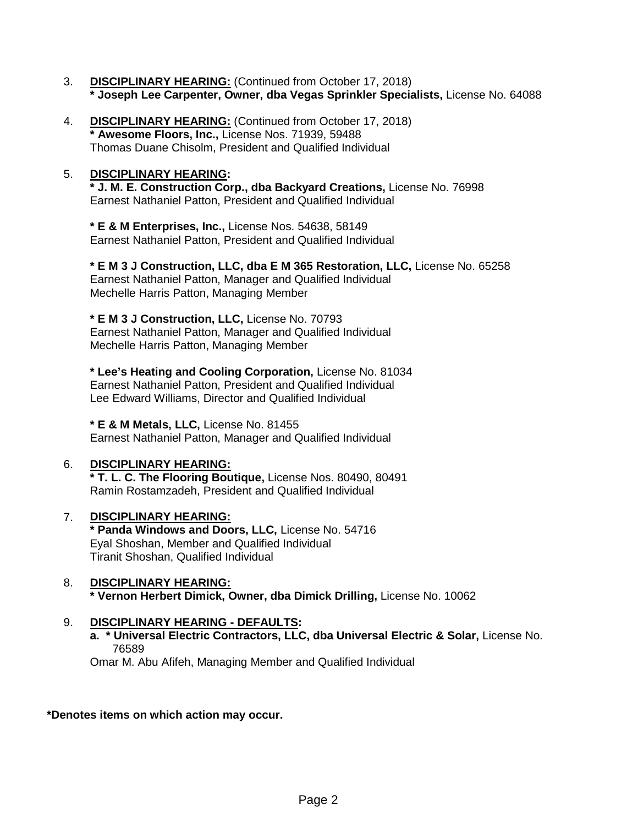- 3. **DISCIPLINARY HEARING:** (Continued from October 17, 2018) **\* Joseph Lee Carpenter, Owner, dba Vegas Sprinkler Specialists,** License No. 64088
- 4. **DISCIPLINARY HEARING:** (Continued from October 17, 2018) **\* Awesome Floors, Inc.,** License Nos. 71939, 59488 Thomas Duane Chisolm, President and Qualified Individual

### 5. **DISCIPLINARY HEARING:**

**\* J. M. E. Construction Corp., dba Backyard Creations,** License No. 76998 Earnest Nathaniel Patton, President and Qualified Individual

**\* E & M Enterprises, Inc.,** License Nos. 54638, 58149 Earnest Nathaniel Patton, President and Qualified Individual

**\* E M 3 J Construction, LLC, dba E M 365 Restoration, LLC,** License No. 65258 Earnest Nathaniel Patton, Manager and Qualified Individual Mechelle Harris Patton, Managing Member

**\* E M 3 J Construction, LLC,** License No. 70793 Earnest Nathaniel Patton, Manager and Qualified Individual Mechelle Harris Patton, Managing Member

**\* Lee's Heating and Cooling Corporation,** License No. 81034 Earnest Nathaniel Patton, President and Qualified Individual Lee Edward Williams, Director and Qualified Individual

**\* E & M Metals, LLC,** License No. 81455

Earnest Nathaniel Patton, Manager and Qualified Individual

## 6. **DISCIPLINARY HEARING:**

**\* T. L. C. The Flooring Boutique,** License Nos. 80490, 80491 Ramin Rostamzadeh, President and Qualified Individual

#### 7. **DISCIPLINARY HEARING: \* Panda Windows and Doors, LLC,** License No. 54716 Eyal Shoshan, Member and Qualified Individual Tiranit Shoshan, Qualified Individual

#### 8. **DISCIPLINARY HEARING: \* Vernon Herbert Dimick, Owner, dba Dimick Drilling,** License No. 10062

## 9. **DISCIPLINARY HEARING - DEFAULTS:**

**a. \* Universal Electric Contractors, LLC, dba Universal Electric & Solar,** License No. 76589

Omar M. Abu Afifeh, Managing Member and Qualified Individual

## **\*Denotes items on which action may occur.**